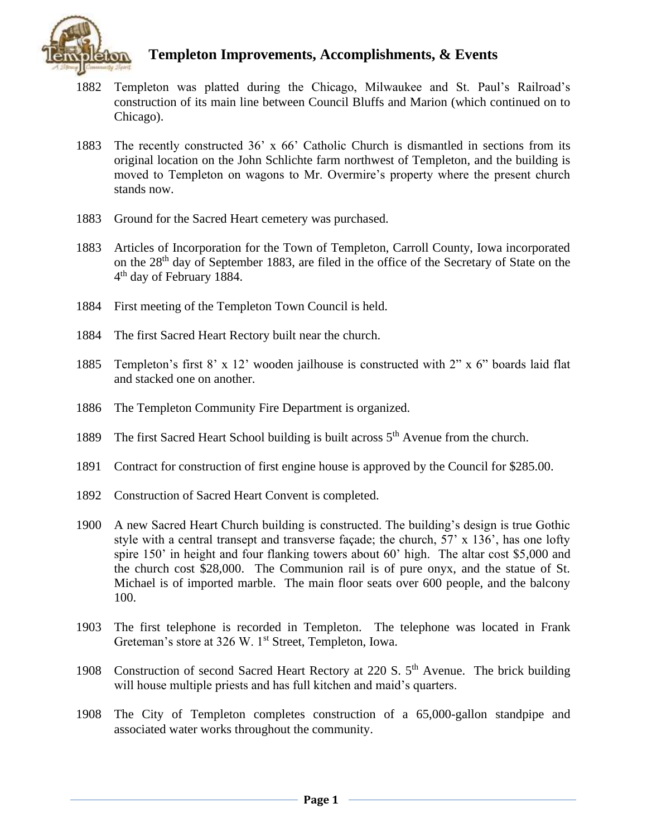

- 1882 Templeton was platted during the Chicago, Milwaukee and St. Paul's Railroad's construction of its main line between Council Bluffs and Marion (which continued on to Chicago).
- 1883 The recently constructed 36' x 66' Catholic Church is dismantled in sections from its original location on the John Schlichte farm northwest of Templeton, and the building is moved to Templeton on wagons to Mr. Overmire's property where the present church stands now.
- 1883 Ground for the Sacred Heart cemetery was purchased.
- 1883 Articles of Incorporation for the Town of Templeton, Carroll County, Iowa incorporated on the 28th day of September 1883, are filed in the office of the Secretary of State on the 4<sup>th</sup> day of February 1884.
- 1884 First meeting of the Templeton Town Council is held.
- 1884 The first Sacred Heart Rectory built near the church.
- 1885 Templeton's first 8' x 12' wooden jailhouse is constructed with 2" x 6" boards laid flat and stacked one on another.
- 1886 The Templeton Community Fire Department is organized.
- 1889 The first Sacred Heart School building is built across  $5<sup>th</sup>$  Avenue from the church.
- 1891 Contract for construction of first engine house is approved by the Council for \$285.00.
- 1892 Construction of Sacred Heart Convent is completed.
- 1900 A new Sacred Heart Church building is constructed. The building's design is true Gothic style with a central transept and transverse façade; the church,  $57' \times 136'$ , has one lofty spire 150' in height and four flanking towers about 60' high. The altar cost \$5,000 and the church cost \$28,000. The Communion rail is of pure onyx, and the statue of St. Michael is of imported marble. The main floor seats over 600 people, and the balcony 100.
- 1903 The first telephone is recorded in Templeton. The telephone was located in Frank Greteman's store at 326 W. 1<sup>st</sup> Street, Templeton, Iowa.
- 1908 Construction of second Sacred Heart Rectory at 220 S. 5<sup>th</sup> Avenue. The brick building will house multiple priests and has full kitchen and maid's quarters.
- 1908 The City of Templeton completes construction of a 65,000-gallon standpipe and associated water works throughout the community.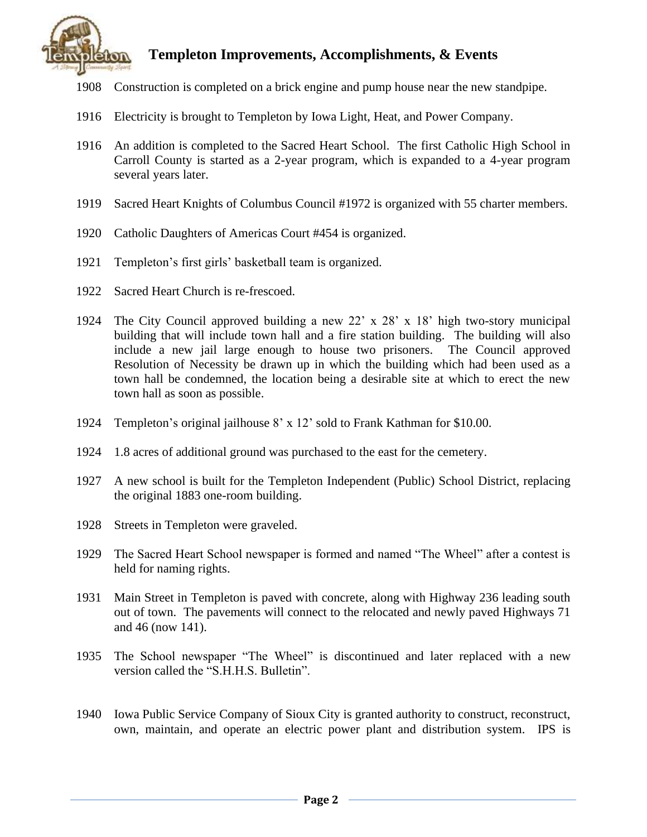

- 1908 Construction is completed on a brick engine and pump house near the new standpipe.
- 1916 Electricity is brought to Templeton by Iowa Light, Heat, and Power Company.
- 1916 An addition is completed to the Sacred Heart School. The first Catholic High School in Carroll County is started as a 2-year program, which is expanded to a 4-year program several years later.
- 1919 Sacred Heart Knights of Columbus Council #1972 is organized with 55 charter members.
- 1920 Catholic Daughters of Americas Court #454 is organized.
- 1921 Templeton's first girls' basketball team is organized.
- 1922 Sacred Heart Church is re-frescoed.
- 1924 The City Council approved building a new 22' x 28' x 18' high two-story municipal building that will include town hall and a fire station building. The building will also include a new jail large enough to house two prisoners. The Council approved Resolution of Necessity be drawn up in which the building which had been used as a town hall be condemned, the location being a desirable site at which to erect the new town hall as soon as possible.
- 1924 Templeton's original jailhouse 8' x 12' sold to Frank Kathman for \$10.00.
- 1924 1.8 acres of additional ground was purchased to the east for the cemetery.
- 1927 A new school is built for the Templeton Independent (Public) School District, replacing the original 1883 one-room building.
- 1928 Streets in Templeton were graveled.
- 1929 The Sacred Heart School newspaper is formed and named "The Wheel" after a contest is held for naming rights.
- 1931 Main Street in Templeton is paved with concrete, along with Highway 236 leading south out of town. The pavements will connect to the relocated and newly paved Highways 71 and 46 (now 141).
- 1935 The School newspaper "The Wheel" is discontinued and later replaced with a new version called the "S.H.H.S. Bulletin".
- 1940 Iowa Public Service Company of Sioux City is granted authority to construct, reconstruct, own, maintain, and operate an electric power plant and distribution system. IPS is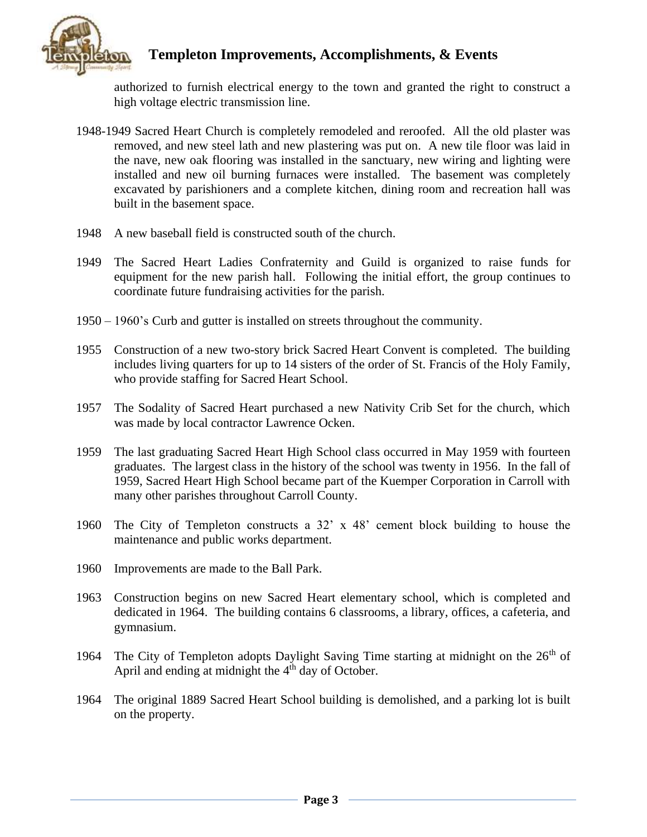

authorized to furnish electrical energy to the town and granted the right to construct a high voltage electric transmission line.

- 1948-1949 Sacred Heart Church is completely remodeled and reroofed. All the old plaster was removed, and new steel lath and new plastering was put on. A new tile floor was laid in the nave, new oak flooring was installed in the sanctuary, new wiring and lighting were installed and new oil burning furnaces were installed. The basement was completely excavated by parishioners and a complete kitchen, dining room and recreation hall was built in the basement space.
- 1948 A new baseball field is constructed south of the church.
- 1949 The Sacred Heart Ladies Confraternity and Guild is organized to raise funds for equipment for the new parish hall. Following the initial effort, the group continues to coordinate future fundraising activities for the parish.
- 1950 1960's Curb and gutter is installed on streets throughout the community.
- 1955 Construction of a new two-story brick Sacred Heart Convent is completed. The building includes living quarters for up to 14 sisters of the order of St. Francis of the Holy Family, who provide staffing for Sacred Heart School.
- 1957 The Sodality of Sacred Heart purchased a new Nativity Crib Set for the church, which was made by local contractor Lawrence Ocken.
- 1959 The last graduating Sacred Heart High School class occurred in May 1959 with fourteen graduates. The largest class in the history of the school was twenty in 1956. In the fall of 1959, Sacred Heart High School became part of the Kuemper Corporation in Carroll with many other parishes throughout Carroll County.
- 1960 The City of Templeton constructs a 32' x 48' cement block building to house the maintenance and public works department.
- 1960 Improvements are made to the Ball Park.
- 1963 Construction begins on new Sacred Heart elementary school, which is completed and dedicated in 1964. The building contains 6 classrooms, a library, offices, a cafeteria, and gymnasium.
- 1964 The City of Templeton adopts Daylight Saving Time starting at midnight on the  $26<sup>th</sup>$  of April and ending at midnight the  $4<sup>th</sup>$  day of October.
- 1964 The original 1889 Sacred Heart School building is demolished, and a parking lot is built on the property.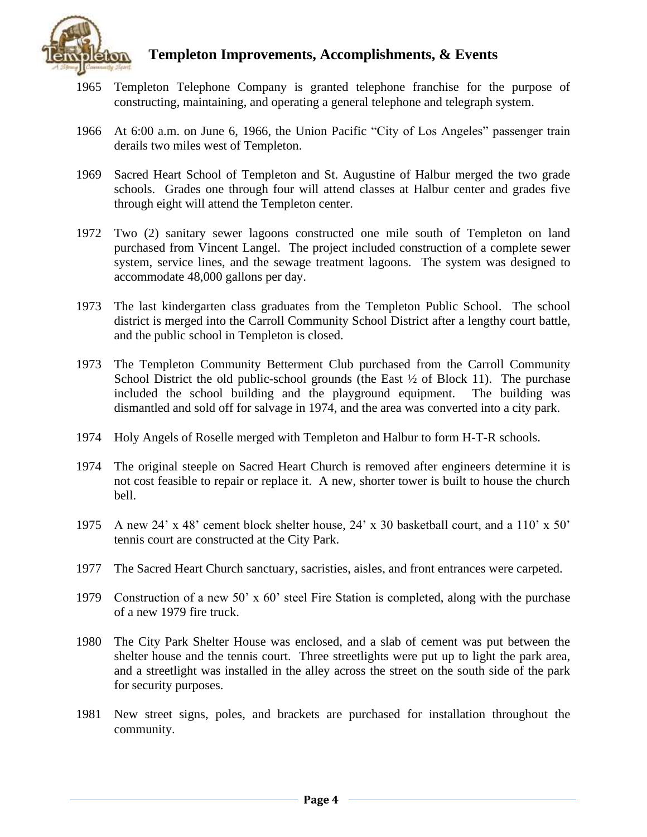

- 1965 Templeton Telephone Company is granted telephone franchise for the purpose of constructing, maintaining, and operating a general telephone and telegraph system.
- 1966 At 6:00 a.m. on June 6, 1966, the Union Pacific "City of Los Angeles" passenger train derails two miles west of Templeton.
- 1969 Sacred Heart School of Templeton and St. Augustine of Halbur merged the two grade schools. Grades one through four will attend classes at Halbur center and grades five through eight will attend the Templeton center.
- 1972 Two (2) sanitary sewer lagoons constructed one mile south of Templeton on land purchased from Vincent Langel. The project included construction of a complete sewer system, service lines, and the sewage treatment lagoons. The system was designed to accommodate 48,000 gallons per day.
- 1973 The last kindergarten class graduates from the Templeton Public School. The school district is merged into the Carroll Community School District after a lengthy court battle, and the public school in Templeton is closed.
- 1973 The Templeton Community Betterment Club purchased from the Carroll Community School District the old public-school grounds (the East  $\frac{1}{2}$  of Block 11). The purchase included the school building and the playground equipment. The building was dismantled and sold off for salvage in 1974, and the area was converted into a city park.
- 1974 Holy Angels of Roselle merged with Templeton and Halbur to form H-T-R schools.
- 1974 The original steeple on Sacred Heart Church is removed after engineers determine it is not cost feasible to repair or replace it. A new, shorter tower is built to house the church bell.
- 1975 A new 24' x 48' cement block shelter house, 24' x 30 basketball court, and a 110' x 50' tennis court are constructed at the City Park.
- 1977 The Sacred Heart Church sanctuary, sacristies, aisles, and front entrances were carpeted.
- 1979 Construction of a new 50' x 60' steel Fire Station is completed, along with the purchase of a new 1979 fire truck.
- 1980 The City Park Shelter House was enclosed, and a slab of cement was put between the shelter house and the tennis court. Three streetlights were put up to light the park area, and a streetlight was installed in the alley across the street on the south side of the park for security purposes.
- 1981 New street signs, poles, and brackets are purchased for installation throughout the community.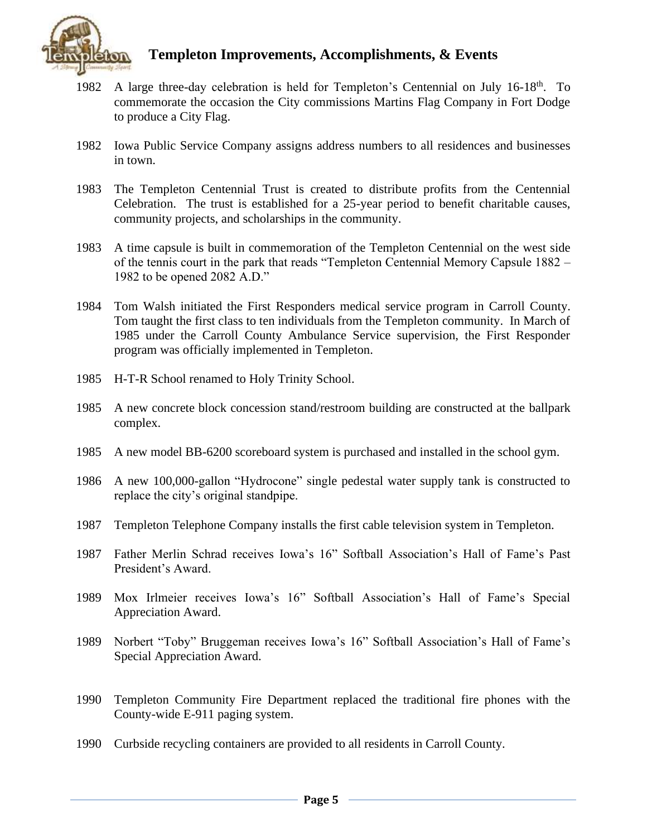

- 1982 A large three-day celebration is held for Templeton's Centennial on July 16-18<sup>th</sup>. To commemorate the occasion the City commissions Martins Flag Company in Fort Dodge to produce a City Flag.
- 1982 Iowa Public Service Company assigns address numbers to all residences and businesses in town.
- 1983 The Templeton Centennial Trust is created to distribute profits from the Centennial Celebration. The trust is established for a 25-year period to benefit charitable causes, community projects, and scholarships in the community.
- 1983 A time capsule is built in commemoration of the Templeton Centennial on the west side of the tennis court in the park that reads "Templeton Centennial Memory Capsule 1882 – 1982 to be opened 2082 A.D."
- 1984 Tom Walsh initiated the First Responders medical service program in Carroll County. Tom taught the first class to ten individuals from the Templeton community. In March of 1985 under the Carroll County Ambulance Service supervision, the First Responder program was officially implemented in Templeton.
- 1985 H-T-R School renamed to Holy Trinity School.
- 1985 A new concrete block concession stand/restroom building are constructed at the ballpark complex.
- 1985 A new model BB-6200 scoreboard system is purchased and installed in the school gym.
- 1986 A new 100,000-gallon "Hydrocone" single pedestal water supply tank is constructed to replace the city's original standpipe.
- 1987 Templeton Telephone Company installs the first cable television system in Templeton.
- 1987 Father Merlin Schrad receives Iowa's 16" Softball Association's Hall of Fame's Past President's Award.
- 1989 Mox Irlmeier receives Iowa's 16" Softball Association's Hall of Fame's Special Appreciation Award.
- 1989 Norbert "Toby" Bruggeman receives Iowa's 16" Softball Association's Hall of Fame's Special Appreciation Award.
- 1990 Templeton Community Fire Department replaced the traditional fire phones with the County-wide E-911 paging system.
- 1990 Curbside recycling containers are provided to all residents in Carroll County.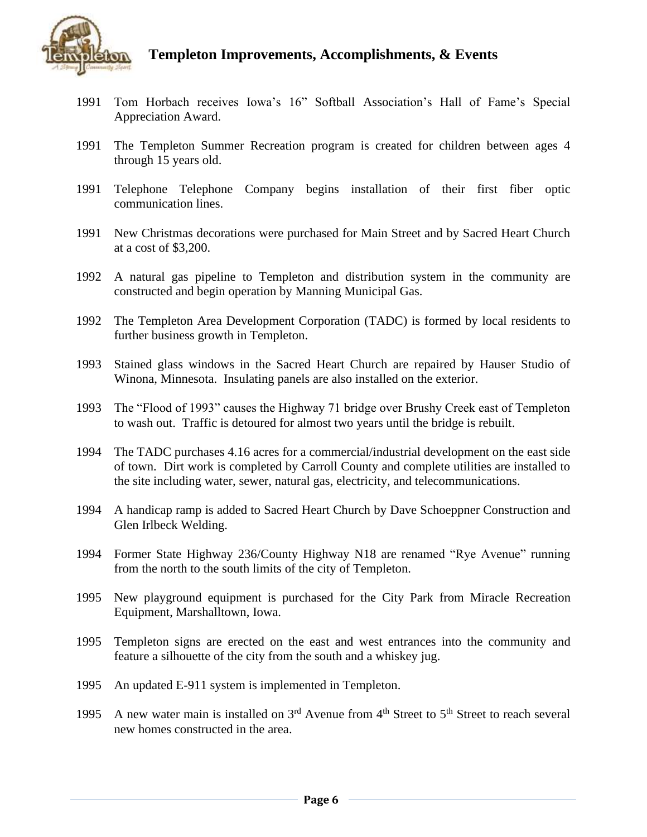

- 1991 Tom Horbach receives Iowa's 16" Softball Association's Hall of Fame's Special Appreciation Award.
- 1991 The Templeton Summer Recreation program is created for children between ages 4 through 15 years old.
- 1991 Telephone Telephone Company begins installation of their first fiber optic communication lines.
- 1991 New Christmas decorations were purchased for Main Street and by Sacred Heart Church at a cost of \$3,200.
- 1992 A natural gas pipeline to Templeton and distribution system in the community are constructed and begin operation by Manning Municipal Gas.
- 1992 The Templeton Area Development Corporation (TADC) is formed by local residents to further business growth in Templeton.
- 1993 Stained glass windows in the Sacred Heart Church are repaired by Hauser Studio of Winona, Minnesota. Insulating panels are also installed on the exterior.
- 1993 The "Flood of 1993" causes the Highway 71 bridge over Brushy Creek east of Templeton to wash out. Traffic is detoured for almost two years until the bridge is rebuilt.
- 1994 The TADC purchases 4.16 acres for a commercial/industrial development on the east side of town. Dirt work is completed by Carroll County and complete utilities are installed to the site including water, sewer, natural gas, electricity, and telecommunications.
- 1994 A handicap ramp is added to Sacred Heart Church by Dave Schoeppner Construction and Glen Irlbeck Welding.
- 1994 Former State Highway 236/County Highway N18 are renamed "Rye Avenue" running from the north to the south limits of the city of Templeton.
- 1995 New playground equipment is purchased for the City Park from Miracle Recreation Equipment, Marshalltown, Iowa.
- 1995 Templeton signs are erected on the east and west entrances into the community and feature a silhouette of the city from the south and a whiskey jug.
- 1995 An updated E-911 system is implemented in Templeton.
- 1995 A new water main is installed on  $3<sup>rd</sup>$  Avenue from  $4<sup>th</sup>$  Street to  $5<sup>th</sup>$  Street to reach several new homes constructed in the area.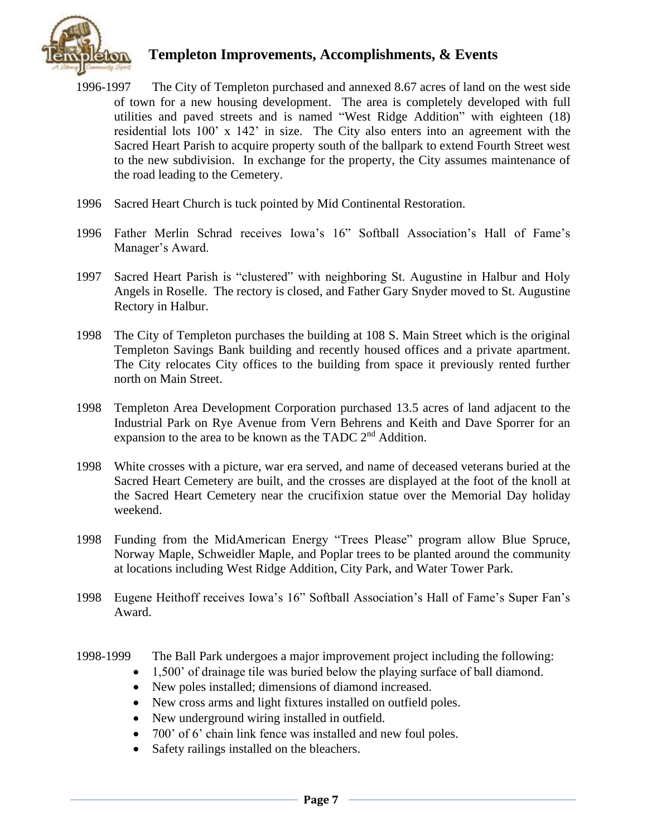

- 1996-1997 The City of Templeton purchased and annexed 8.67 acres of land on the west side of town for a new housing development. The area is completely developed with full utilities and paved streets and is named "West Ridge Addition" with eighteen (18) residential lots 100' x 142' in size. The City also enters into an agreement with the Sacred Heart Parish to acquire property south of the ballpark to extend Fourth Street west to the new subdivision. In exchange for the property, the City assumes maintenance of the road leading to the Cemetery.
- 1996 Sacred Heart Church is tuck pointed by Mid Continental Restoration.
- 1996 Father Merlin Schrad receives Iowa's 16" Softball Association's Hall of Fame's Manager's Award.
- 1997 Sacred Heart Parish is "clustered" with neighboring St. Augustine in Halbur and Holy Angels in Roselle. The rectory is closed, and Father Gary Snyder moved to St. Augustine Rectory in Halbur.
- 1998 The City of Templeton purchases the building at 108 S. Main Street which is the original Templeton Savings Bank building and recently housed offices and a private apartment. The City relocates City offices to the building from space it previously rented further north on Main Street.
- 1998 Templeton Area Development Corporation purchased 13.5 acres of land adjacent to the Industrial Park on Rye Avenue from Vern Behrens and Keith and Dave Sporrer for an expansion to the area to be known as the TADC 2<sup>nd</sup> Addition.
- 1998 White crosses with a picture, war era served, and name of deceased veterans buried at the Sacred Heart Cemetery are built, and the crosses are displayed at the foot of the knoll at the Sacred Heart Cemetery near the crucifixion statue over the Memorial Day holiday weekend.
- 1998 Funding from the MidAmerican Energy "Trees Please" program allow Blue Spruce, Norway Maple, Schweidler Maple, and Poplar trees to be planted around the community at locations including West Ridge Addition, City Park, and Water Tower Park.
- 1998 Eugene Heithoff receives Iowa's 16" Softball Association's Hall of Fame's Super Fan's Award.
- 1998-1999 The Ball Park undergoes a major improvement project including the following:
	- 1,500' of drainage tile was buried below the playing surface of ball diamond.
	- New poles installed; dimensions of diamond increased.
	- New cross arms and light fixtures installed on outfield poles.
	- New underground wiring installed in outfield.
	- 700' of 6' chain link fence was installed and new foul poles.
	- Safety railings installed on the bleachers.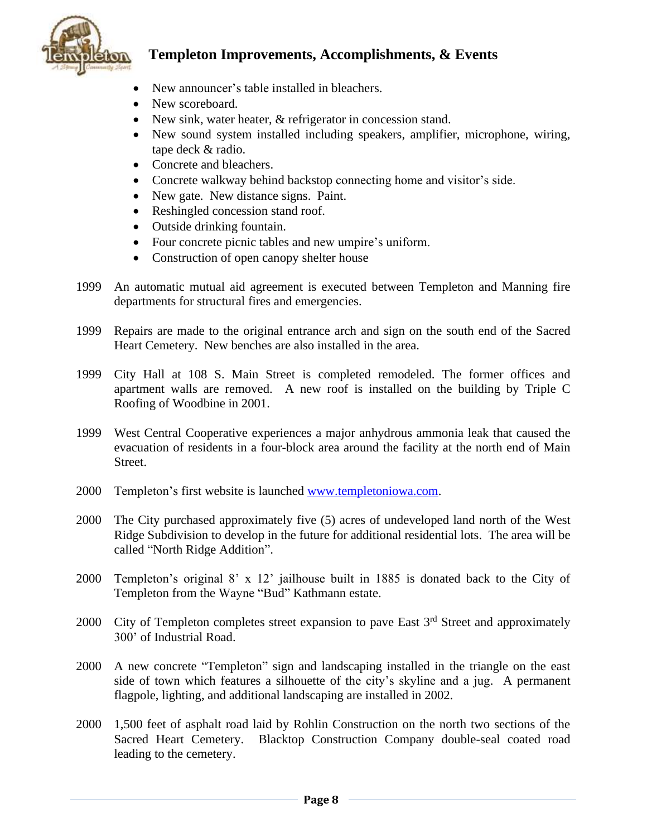

- New announcer's table installed in bleachers.
- New scoreboard.
- New sink, water heater, & refrigerator in concession stand.
- New sound system installed including speakers, amplifier, microphone, wiring, tape deck & radio.
- Concrete and bleachers.
- Concrete walkway behind backstop connecting home and visitor's side.
- New gate. New distance signs. Paint.
- Reshingled concession stand roof.
- Outside drinking fountain.
- Four concrete picnic tables and new umpire's uniform.
- Construction of open canopy shelter house
- 1999 An automatic mutual aid agreement is executed between Templeton and Manning fire departments for structural fires and emergencies.
- 1999 Repairs are made to the original entrance arch and sign on the south end of the Sacred Heart Cemetery. New benches are also installed in the area.
- 1999 City Hall at 108 S. Main Street is completed remodeled. The former offices and apartment walls are removed. A new roof is installed on the building by Triple C Roofing of Woodbine in 2001.
- 1999 West Central Cooperative experiences a major anhydrous ammonia leak that caused the evacuation of residents in a four-block area around the facility at the north end of Main Street.
- 2000 Templeton's first website is launched [www.templetoniowa.com.](http://www.templetoniowa.com/)
- 2000 The City purchased approximately five (5) acres of undeveloped land north of the West Ridge Subdivision to develop in the future for additional residential lots. The area will be called "North Ridge Addition".
- 2000 Templeton's original 8' x 12' jailhouse built in 1885 is donated back to the City of Templeton from the Wayne "Bud" Kathmann estate.
- 2000 City of Templeton completes street expansion to pave East  $3<sup>rd</sup>$  Street and approximately 300' of Industrial Road.
- 2000 A new concrete "Templeton" sign and landscaping installed in the triangle on the east side of town which features a silhouette of the city's skyline and a jug. A permanent flagpole, lighting, and additional landscaping are installed in 2002.
- 2000 1,500 feet of asphalt road laid by Rohlin Construction on the north two sections of the Sacred Heart Cemetery. Blacktop Construction Company double-seal coated road leading to the cemetery.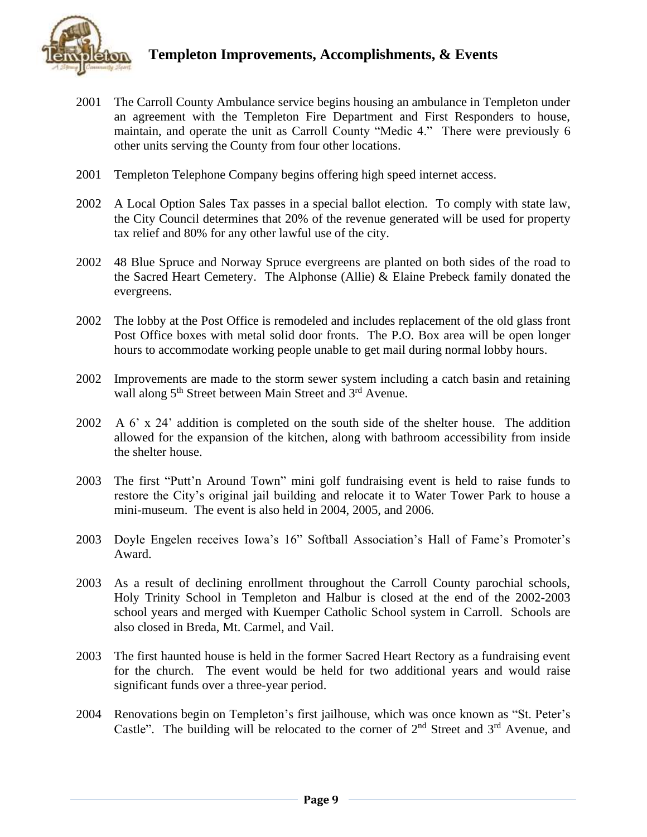

- 2001 The Carroll County Ambulance service begins housing an ambulance in Templeton under an agreement with the Templeton Fire Department and First Responders to house, maintain, and operate the unit as Carroll County "Medic 4." There were previously 6 other units serving the County from four other locations.
- 2001 Templeton Telephone Company begins offering high speed internet access.
- 2002 A Local Option Sales Tax passes in a special ballot election. To comply with state law, the City Council determines that 20% of the revenue generated will be used for property tax relief and 80% for any other lawful use of the city.
- 2002 48 Blue Spruce and Norway Spruce evergreens are planted on both sides of the road to the Sacred Heart Cemetery. The Alphonse (Allie) & Elaine Prebeck family donated the evergreens.
- 2002 The lobby at the Post Office is remodeled and includes replacement of the old glass front Post Office boxes with metal solid door fronts. The P.O. Box area will be open longer hours to accommodate working people unable to get mail during normal lobby hours.
- 2002 Improvements are made to the storm sewer system including a catch basin and retaining wall along 5<sup>th</sup> Street between Main Street and 3<sup>rd</sup> Avenue.
- 2002 A 6' x 24' addition is completed on the south side of the shelter house. The addition allowed for the expansion of the kitchen, along with bathroom accessibility from inside the shelter house.
- 2003 The first "Putt'n Around Town" mini golf fundraising event is held to raise funds to restore the City's original jail building and relocate it to Water Tower Park to house a mini-museum. The event is also held in 2004, 2005, and 2006.
- 2003 Doyle Engelen receives Iowa's 16" Softball Association's Hall of Fame's Promoter's Award.
- 2003 As a result of declining enrollment throughout the Carroll County parochial schools, Holy Trinity School in Templeton and Halbur is closed at the end of the 2002-2003 school years and merged with Kuemper Catholic School system in Carroll. Schools are also closed in Breda, Mt. Carmel, and Vail.
- 2003 The first haunted house is held in the former Sacred Heart Rectory as a fundraising event for the church. The event would be held for two additional years and would raise significant funds over a three-year period.
- 2004 Renovations begin on Templeton's first jailhouse, which was once known as "St. Peter's Castle". The building will be relocated to the corner of  $2<sup>nd</sup>$  Street and  $3<sup>rd</sup>$  Avenue, and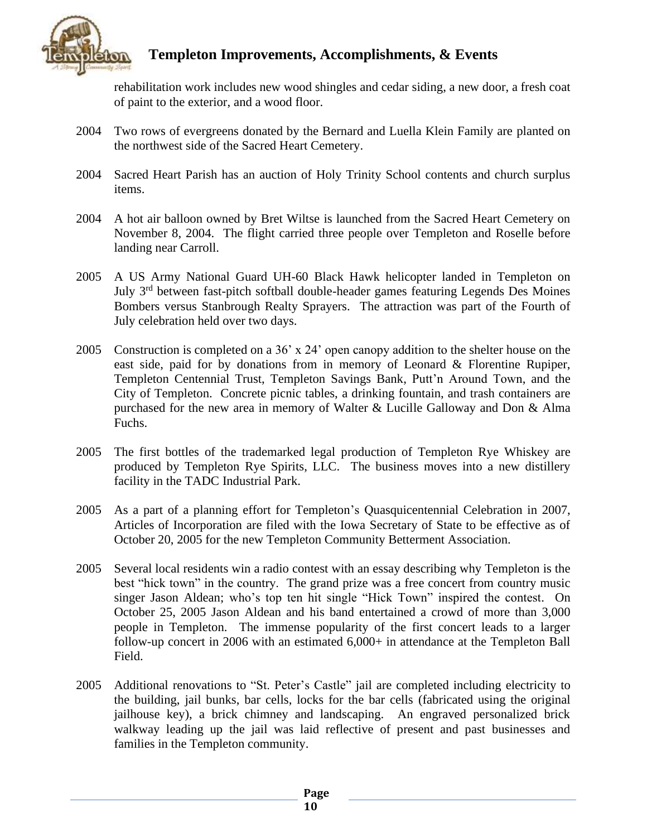

rehabilitation work includes new wood shingles and cedar siding, a new door, a fresh coat of paint to the exterior, and a wood floor.

- 2004 Two rows of evergreens donated by the Bernard and Luella Klein Family are planted on the northwest side of the Sacred Heart Cemetery.
- 2004 Sacred Heart Parish has an auction of Holy Trinity School contents and church surplus items.
- 2004 A hot air balloon owned by Bret Wiltse is launched from the Sacred Heart Cemetery on November 8, 2004. The flight carried three people over Templeton and Roselle before landing near Carroll.
- 2005 A US Army National Guard UH-60 Black Hawk helicopter landed in Templeton on July 3<sup>rd</sup> between fast-pitch softball double-header games featuring Legends Des Moines Bombers versus Stanbrough Realty Sprayers. The attraction was part of the Fourth of July celebration held over two days.
- 2005 Construction is completed on a 36' x 24' open canopy addition to the shelter house on the east side, paid for by donations from in memory of Leonard & Florentine Rupiper, Templeton Centennial Trust, Templeton Savings Bank, Putt'n Around Town, and the City of Templeton. Concrete picnic tables, a drinking fountain, and trash containers are purchased for the new area in memory of Walter & Lucille Galloway and Don & Alma Fuchs.
- 2005 The first bottles of the trademarked legal production of Templeton Rye Whiskey are produced by Templeton Rye Spirits, LLC. The business moves into a new distillery facility in the TADC Industrial Park.
- 2005 As a part of a planning effort for Templeton's Quasquicentennial Celebration in 2007, Articles of Incorporation are filed with the Iowa Secretary of State to be effective as of October 20, 2005 for the new Templeton Community Betterment Association.
- 2005 Several local residents win a radio contest with an essay describing why Templeton is the best "hick town" in the country. The grand prize was a free concert from country music singer Jason Aldean; who's top ten hit single "Hick Town" inspired the contest. On October 25, 2005 Jason Aldean and his band entertained a crowd of more than 3,000 people in Templeton. The immense popularity of the first concert leads to a larger follow-up concert in 2006 with an estimated 6,000+ in attendance at the Templeton Ball Field.
- 2005 Additional renovations to "St. Peter's Castle" jail are completed including electricity to the building, jail bunks, bar cells, locks for the bar cells (fabricated using the original jailhouse key), a brick chimney and landscaping. An engraved personalized brick walkway leading up the jail was laid reflective of present and past businesses and families in the Templeton community.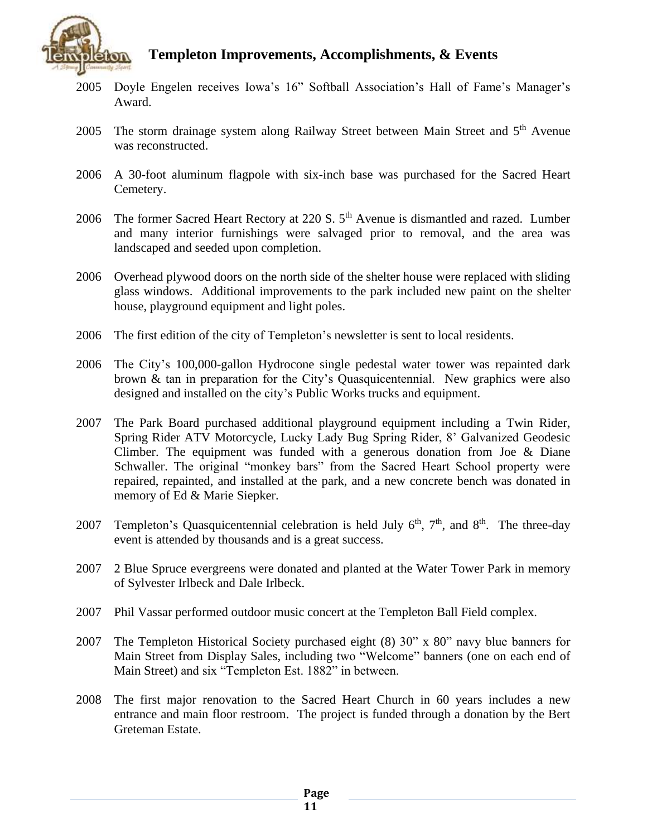

- 2005 Doyle Engelen receives Iowa's 16" Softball Association's Hall of Fame's Manager's Award.
- 2005 The storm drainage system along Railway Street between Main Street and 5<sup>th</sup> Avenue was reconstructed.
- 2006 A 30-foot aluminum flagpole with six-inch base was purchased for the Sacred Heart Cemetery.
- 2006 The former Sacred Heart Rectory at 220 S. 5<sup>th</sup> Avenue is dismantled and razed. Lumber and many interior furnishings were salvaged prior to removal, and the area was landscaped and seeded upon completion.
- 2006 Overhead plywood doors on the north side of the shelter house were replaced with sliding glass windows. Additional improvements to the park included new paint on the shelter house, playground equipment and light poles.
- 2006 The first edition of the city of Templeton's newsletter is sent to local residents.
- 2006 The City's 100,000-gallon Hydrocone single pedestal water tower was repainted dark brown & tan in preparation for the City's Quasquicentennial. New graphics were also designed and installed on the city's Public Works trucks and equipment.
- 2007 The Park Board purchased additional playground equipment including a Twin Rider, Spring Rider ATV Motorcycle, Lucky Lady Bug Spring Rider, 8' Galvanized Geodesic Climber. The equipment was funded with a generous donation from Joe & Diane Schwaller. The original "monkey bars" from the Sacred Heart School property were repaired, repainted, and installed at the park, and a new concrete bench was donated in memory of Ed & Marie Siepker.
- 2007 Templeton's Quasquicentennial celebration is held July  $6<sup>th</sup>$ ,  $7<sup>th</sup>$ , and  $8<sup>th</sup>$ . The three-day event is attended by thousands and is a great success.
- 2007 2 Blue Spruce evergreens were donated and planted at the Water Tower Park in memory of Sylvester Irlbeck and Dale Irlbeck.
- 2007 Phil Vassar performed outdoor music concert at the Templeton Ball Field complex.
- 2007 The Templeton Historical Society purchased eight (8) 30" x 80" navy blue banners for Main Street from Display Sales, including two "Welcome" banners (one on each end of Main Street) and six "Templeton Est. 1882" in between.
- 2008 The first major renovation to the Sacred Heart Church in 60 years includes a new entrance and main floor restroom. The project is funded through a donation by the Bert Greteman Estate.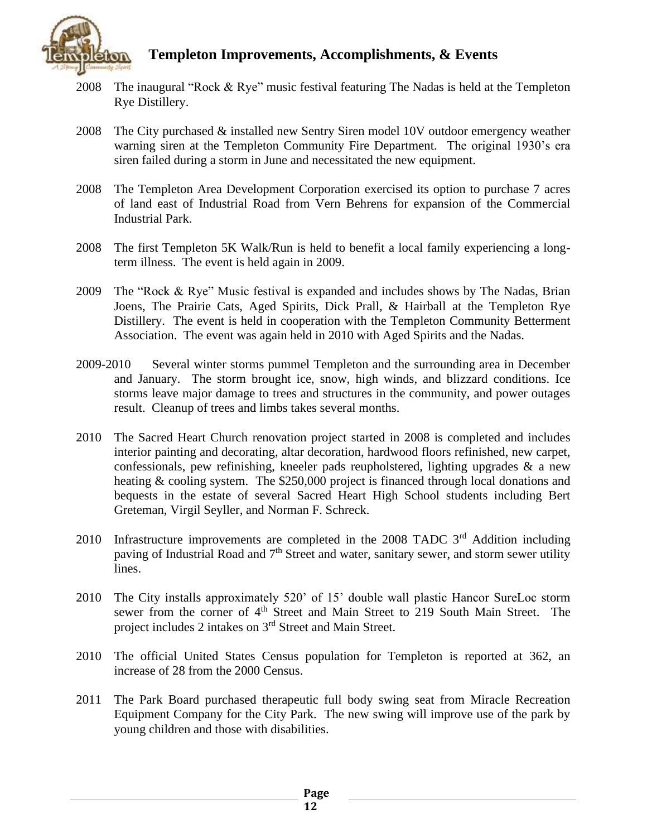

- 2008 The inaugural "Rock & Rye" music festival featuring The Nadas is held at the Templeton Rye Distillery.
- 2008 The City purchased & installed new Sentry Siren model 10V outdoor emergency weather warning siren at the Templeton Community Fire Department. The original 1930's era siren failed during a storm in June and necessitated the new equipment.
- 2008 The Templeton Area Development Corporation exercised its option to purchase 7 acres of land east of Industrial Road from Vern Behrens for expansion of the Commercial Industrial Park.
- 2008 The first Templeton 5K Walk/Run is held to benefit a local family experiencing a longterm illness. The event is held again in 2009.
- 2009 The "Rock & Rye" Music festival is expanded and includes shows by The Nadas, Brian Joens, The Prairie Cats, Aged Spirits, Dick Prall, & Hairball at the Templeton Rye Distillery. The event is held in cooperation with the Templeton Community Betterment Association. The event was again held in 2010 with Aged Spirits and the Nadas.
- 2009-2010 Several winter storms pummel Templeton and the surrounding area in December and January. The storm brought ice, snow, high winds, and blizzard conditions. Ice storms leave major damage to trees and structures in the community, and power outages result. Cleanup of trees and limbs takes several months.
- 2010 The Sacred Heart Church renovation project started in 2008 is completed and includes interior painting and decorating, altar decoration, hardwood floors refinished, new carpet, confessionals, pew refinishing, kneeler pads reupholstered, lighting upgrades & a new heating & cooling system. The \$250,000 project is financed through local donations and bequests in the estate of several Sacred Heart High School students including Bert Greteman, Virgil Seyller, and Norman F. Schreck.
- 2010 Infrastructure improvements are completed in the 2008 TADC  $3<sup>rd</sup>$  Addition including paving of Industrial Road and  $7<sup>th</sup>$  Street and water, sanitary sewer, and storm sewer utility lines.
- 2010 The City installs approximately 520' of 15' double wall plastic Hancor SureLoc storm sewer from the corner of 4<sup>th</sup> Street and Main Street to 219 South Main Street. The project includes 2 intakes on 3<sup>rd</sup> Street and Main Street.
- 2010 The official United States Census population for Templeton is reported at 362, an increase of 28 from the 2000 Census.
- 2011 The Park Board purchased therapeutic full body swing seat from Miracle Recreation Equipment Company for the City Park. The new swing will improve use of the park by young children and those with disabilities.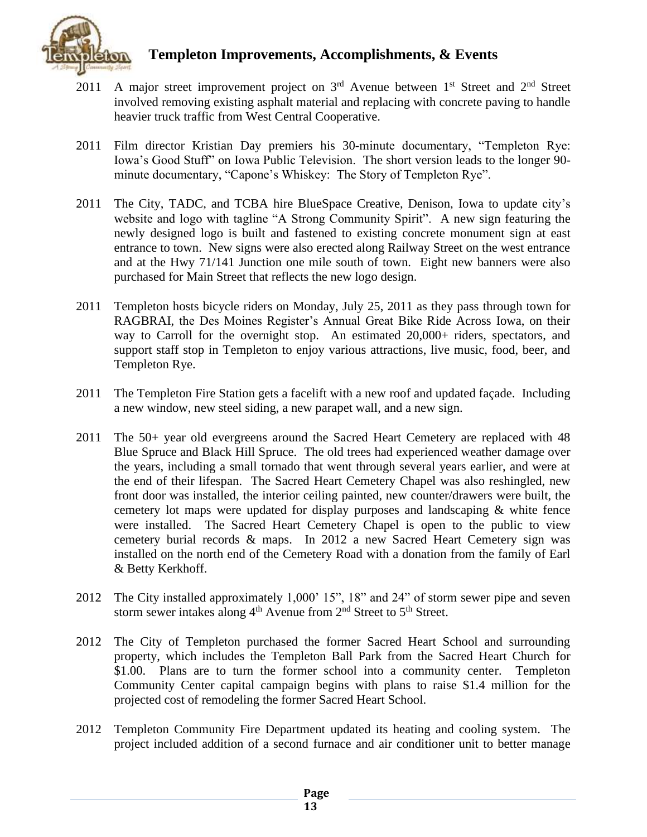

- 2011 A major street improvement project on  $3<sup>rd</sup>$  Avenue between  $1<sup>st</sup>$  Street and  $2<sup>nd</sup>$  Street involved removing existing asphalt material and replacing with concrete paving to handle heavier truck traffic from West Central Cooperative.
- 2011 Film director Kristian Day premiers his 30-minute documentary, "Templeton Rye: Iowa's Good Stuff" on Iowa Public Television. The short version leads to the longer 90 minute documentary, "Capone's Whiskey: The Story of Templeton Rye".
- 2011 The City, TADC, and TCBA hire BlueSpace Creative, Denison, Iowa to update city's website and logo with tagline "A Strong Community Spirit". A new sign featuring the newly designed logo is built and fastened to existing concrete monument sign at east entrance to town. New signs were also erected along Railway Street on the west entrance and at the Hwy 71/141 Junction one mile south of town. Eight new banners were also purchased for Main Street that reflects the new logo design.
- 2011 Templeton hosts bicycle riders on Monday, July 25, 2011 as they pass through town for RAGBRAI, the Des Moines Register's Annual Great Bike Ride Across Iowa, on their way to Carroll for the overnight stop. An estimated 20,000+ riders, spectators, and support staff stop in Templeton to enjoy various attractions, live music, food, beer, and Templeton Rye.
- 2011 The Templeton Fire Station gets a facelift with a new roof and updated façade. Including a new window, new steel siding, a new parapet wall, and a new sign.
- 2011 The 50+ year old evergreens around the Sacred Heart Cemetery are replaced with 48 Blue Spruce and Black Hill Spruce. The old trees had experienced weather damage over the years, including a small tornado that went through several years earlier, and were at the end of their lifespan. The Sacred Heart Cemetery Chapel was also reshingled, new front door was installed, the interior ceiling painted, new counter/drawers were built, the cemetery lot maps were updated for display purposes and landscaping & white fence were installed. The Sacred Heart Cemetery Chapel is open to the public to view cemetery burial records & maps. In 2012 a new Sacred Heart Cemetery sign was installed on the north end of the Cemetery Road with a donation from the family of Earl & Betty Kerkhoff.
- 2012 The City installed approximately 1,000' 15", 18" and 24" of storm sewer pipe and seven storm sewer intakes along  $4<sup>th</sup>$  Avenue from  $2<sup>nd</sup>$  Street to  $5<sup>th</sup>$  Street.
- 2012 The City of Templeton purchased the former Sacred Heart School and surrounding property, which includes the Templeton Ball Park from the Sacred Heart Church for \$1.00. Plans are to turn the former school into a community center. Templeton Community Center capital campaign begins with plans to raise \$1.4 million for the projected cost of remodeling the former Sacred Heart School.
- 2012 Templeton Community Fire Department updated its heating and cooling system. The project included addition of a second furnace and air conditioner unit to better manage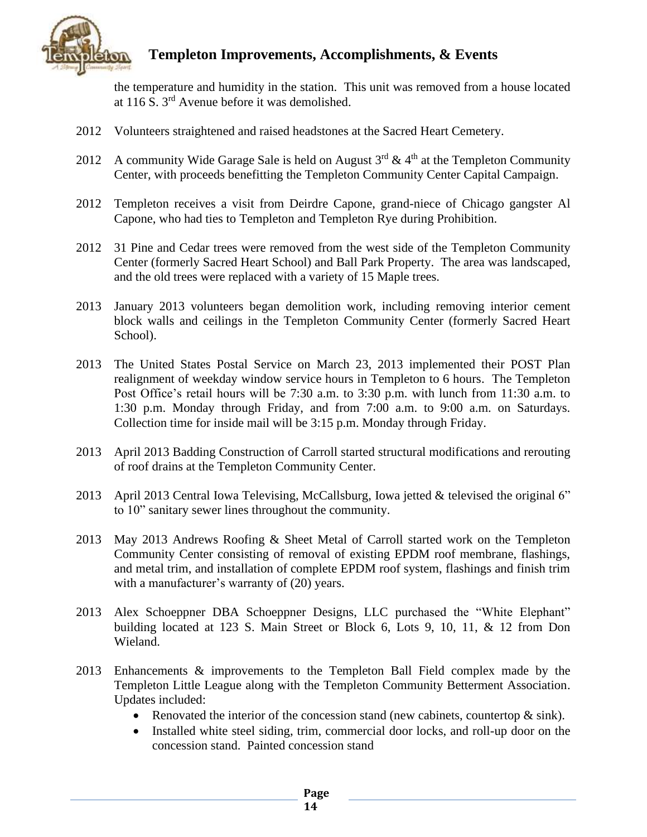

the temperature and humidity in the station. This unit was removed from a house located at 116 S. 3rd Avenue before it was demolished.

- 2012 Volunteers straightened and raised headstones at the Sacred Heart Cemetery.
- 2012 A community Wide Garage Sale is held on August  $3<sup>rd</sup>$  & 4<sup>th</sup> at the Templeton Community Center, with proceeds benefitting the Templeton Community Center Capital Campaign.
- 2012 Templeton receives a visit from Deirdre Capone, grand-niece of Chicago gangster Al Capone, who had ties to Templeton and Templeton Rye during Prohibition.
- 2012 31 Pine and Cedar trees were removed from the west side of the Templeton Community Center (formerly Sacred Heart School) and Ball Park Property. The area was landscaped, and the old trees were replaced with a variety of 15 Maple trees.
- 2013 January 2013 volunteers began demolition work, including removing interior cement block walls and ceilings in the Templeton Community Center (formerly Sacred Heart School).
- 2013 The United States Postal Service on March 23, 2013 implemented their POST Plan realignment of weekday window service hours in Templeton to 6 hours. The Templeton Post Office's retail hours will be 7:30 a.m. to 3:30 p.m. with lunch from 11:30 a.m. to 1:30 p.m. Monday through Friday, and from 7:00 a.m. to 9:00 a.m. on Saturdays. Collection time for inside mail will be 3:15 p.m. Monday through Friday.
- 2013 April 2013 Badding Construction of Carroll started structural modifications and rerouting of roof drains at the Templeton Community Center.
- 2013 April 2013 Central Iowa Televising, McCallsburg, Iowa jetted & televised the original 6" to 10" sanitary sewer lines throughout the community.
- 2013 May 2013 Andrews Roofing & Sheet Metal of Carroll started work on the Templeton Community Center consisting of removal of existing EPDM roof membrane, flashings, and metal trim, and installation of complete EPDM roof system, flashings and finish trim with a manufacturer's warranty of  $(20)$  years.
- 2013 Alex Schoeppner DBA Schoeppner Designs, LLC purchased the "White Elephant" building located at 123 S. Main Street or Block 6, Lots 9, 10, 11, & 12 from Don Wieland.
- 2013 Enhancements & improvements to the Templeton Ball Field complex made by the Templeton Little League along with the Templeton Community Betterment Association. Updates included:
	- Renovated the interior of the concession stand (new cabinets, countertop  $\&$  sink).
	- Installed white steel siding, trim, commercial door locks, and roll-up door on the concession stand. Painted concession stand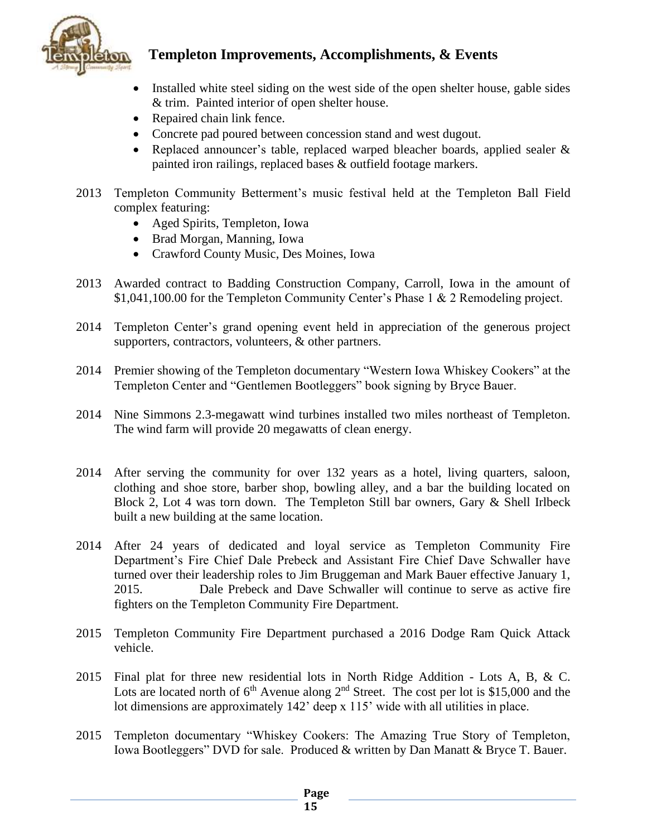

- Installed white steel siding on the west side of the open shelter house, gable sides & trim. Painted interior of open shelter house.
- Repaired chain link fence.
- Concrete pad poured between concession stand and west dugout.
- Replaced announcer's table, replaced warped bleacher boards, applied sealer & painted iron railings, replaced bases & outfield footage markers.
- 2013 Templeton Community Betterment's music festival held at the Templeton Ball Field complex featuring:
	- Aged Spirits, Templeton, Iowa
	- Brad Morgan, Manning, Iowa
	- Crawford County Music, Des Moines, Iowa
- 2013 Awarded contract to Badding Construction Company, Carroll, Iowa in the amount of \$1,041,100.00 for the Templeton Community Center's Phase 1 & 2 Remodeling project.
- 2014 Templeton Center's grand opening event held in appreciation of the generous project supporters, contractors, volunteers, & other partners.
- 2014 Premier showing of the Templeton documentary "Western Iowa Whiskey Cookers" at the Templeton Center and "Gentlemen Bootleggers" book signing by Bryce Bauer.
- 2014 Nine Simmons 2.3-megawatt wind turbines installed two miles northeast of Templeton. The wind farm will provide 20 megawatts of clean energy.
- 2014 After serving the community for over 132 years as a hotel, living quarters, saloon, clothing and shoe store, barber shop, bowling alley, and a bar the building located on Block 2, Lot 4 was torn down. The Templeton Still bar owners, Gary & Shell Irlbeck built a new building at the same location.
- 2014 After 24 years of dedicated and loyal service as Templeton Community Fire Department's Fire Chief Dale Prebeck and Assistant Fire Chief Dave Schwaller have turned over their leadership roles to Jim Bruggeman and Mark Bauer effective January 1, 2015. Dale Prebeck and Dave Schwaller will continue to serve as active fire fighters on the Templeton Community Fire Department.
- 2015 Templeton Community Fire Department purchased a 2016 Dodge Ram Quick Attack vehicle.
- 2015 Final plat for three new residential lots in North Ridge Addition Lots A, B, & C. Lots are located north of  $6<sup>th</sup>$  Avenue along  $2<sup>nd</sup>$  Street. The cost per lot is \$15,000 and the lot dimensions are approximately 142' deep x 115' wide with all utilities in place.
- 2015 Templeton documentary "Whiskey Cookers: The Amazing True Story of Templeton, Iowa Bootleggers" DVD for sale. Produced & written by Dan Manatt & Bryce T. Bauer.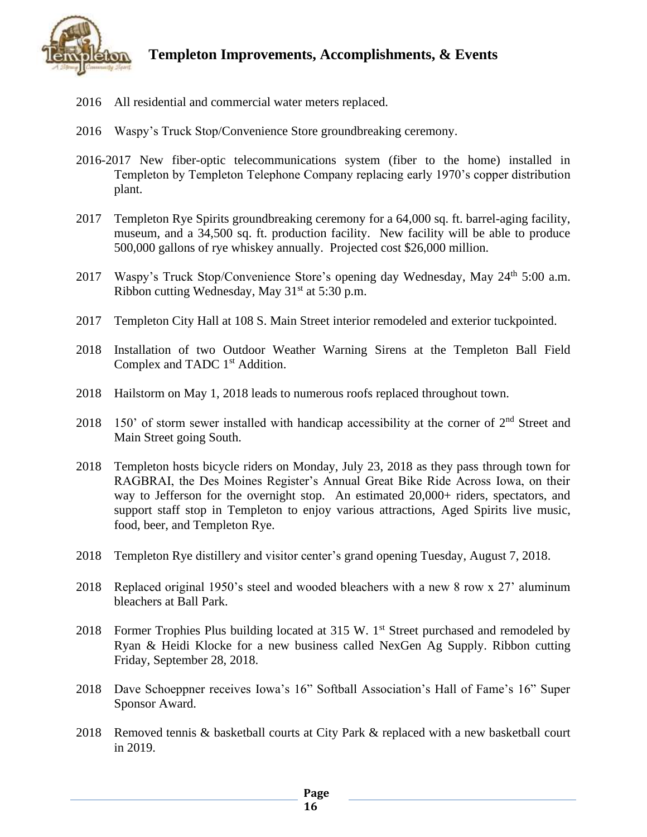

- 2016 All residential and commercial water meters replaced.
- 2016 Waspy's Truck Stop/Convenience Store groundbreaking ceremony.
- 2016-2017 New fiber-optic telecommunications system (fiber to the home) installed in Templeton by Templeton Telephone Company replacing early 1970's copper distribution plant.
- 2017 Templeton Rye Spirits groundbreaking ceremony for a 64,000 sq. ft. barrel-aging facility, museum, and a 34,500 sq. ft. production facility. New facility will be able to produce 500,000 gallons of rye whiskey annually. Projected cost \$26,000 million.
- 2017 Waspy's Truck Stop/Convenience Store's opening day Wednesday, May 24<sup>th</sup> 5:00 a.m. Ribbon cutting Wednesday, May  $31<sup>st</sup>$  at 5:30 p.m.
- 2017 Templeton City Hall at 108 S. Main Street interior remodeled and exterior tuckpointed.
- 2018 Installation of two Outdoor Weather Warning Sirens at the Templeton Ball Field Complex and TADC 1<sup>st</sup> Addition.
- 2018 Hailstorm on May 1, 2018 leads to numerous roofs replaced throughout town.
- 2018 150' of storm sewer installed with handicap accessibility at the corner of  $2<sup>nd</sup>$  Street and Main Street going South.
- 2018 Templeton hosts bicycle riders on Monday, July 23, 2018 as they pass through town for RAGBRAI, the Des Moines Register's Annual Great Bike Ride Across Iowa, on their way to Jefferson for the overnight stop. An estimated 20,000+ riders, spectators, and support staff stop in Templeton to enjoy various attractions, Aged Spirits live music, food, beer, and Templeton Rye.
- 2018 Templeton Rye distillery and visitor center's grand opening Tuesday, August 7, 2018.
- 2018 Replaced original 1950's steel and wooded bleachers with a new 8 row x 27' aluminum bleachers at Ball Park.
- 2018 Former Trophies Plus building located at 315 W. 1<sup>st</sup> Street purchased and remodeled by Ryan & Heidi Klocke for a new business called NexGen Ag Supply. Ribbon cutting Friday, September 28, 2018.
- 2018 Dave Schoeppner receives Iowa's 16" Softball Association's Hall of Fame's 16" Super Sponsor Award.
- 2018 Removed tennis & basketball courts at City Park & replaced with a new basketball court in 2019.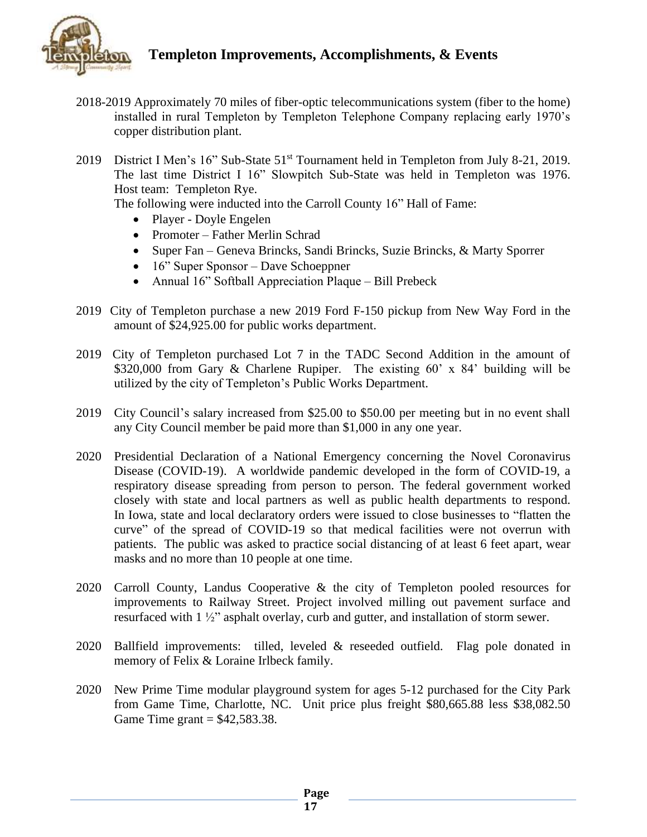

- 2018-2019 Approximately 70 miles of fiber-optic telecommunications system (fiber to the home) installed in rural Templeton by Templeton Telephone Company replacing early 1970's copper distribution plant.
- 2019 District I Men's 16" Sub-State 51<sup>st</sup> Tournament held in Templeton from July 8-21, 2019. The last time District I 16" Slowpitch Sub-State was held in Templeton was 1976. Host team: Templeton Rye.

The following were inducted into the Carroll County 16" Hall of Fame:

- Player Doyle Engelen
- Promoter Father Merlin Schrad
- Super Fan Geneva Brincks, Sandi Brincks, Suzie Brincks, & Marty Sporrer
- 16" Super Sponsor Dave Schoeppner
- Annual 16" Softball Appreciation Plaque Bill Prebeck
- 2019 City of Templeton purchase a new 2019 Ford F-150 pickup from New Way Ford in the amount of \$24,925.00 for public works department.
- 2019 City of Templeton purchased Lot 7 in the TADC Second Addition in the amount of \$320,000 from Gary & Charlene Rupiper. The existing 60' x 84' building will be utilized by the city of Templeton's Public Works Department.
- 2019 City Council's salary increased from \$25.00 to \$50.00 per meeting but in no event shall any City Council member be paid more than \$1,000 in any one year.
- 2020 Presidential Declaration of a National Emergency concerning the Novel Coronavirus Disease (COVID-19). A worldwide pandemic developed in the form of COVID-19, a respiratory disease spreading from person to person. The federal government worked closely with state and local partners as well as public health departments to respond. In Iowa, state and local declaratory orders were issued to close businesses to "flatten the curve" of the spread of COVID-19 so that medical facilities were not overrun with patients. The public was asked to practice social distancing of at least 6 feet apart, wear masks and no more than 10 people at one time.
- 2020 Carroll County, Landus Cooperative & the city of Templeton pooled resources for improvements to Railway Street. Project involved milling out pavement surface and resurfaced with 1 ½" asphalt overlay, curb and gutter, and installation of storm sewer.
- 2020 Ballfield improvements: tilled, leveled & reseeded outfield. Flag pole donated in memory of Felix & Loraine Irlbeck family.
- 2020 New Prime Time modular playground system for ages 5-12 purchased for the City Park from Game Time, Charlotte, NC. Unit price plus freight \$80,665.88 less \$38,082.50 Game Time grant  $=$  \$42,583.38.